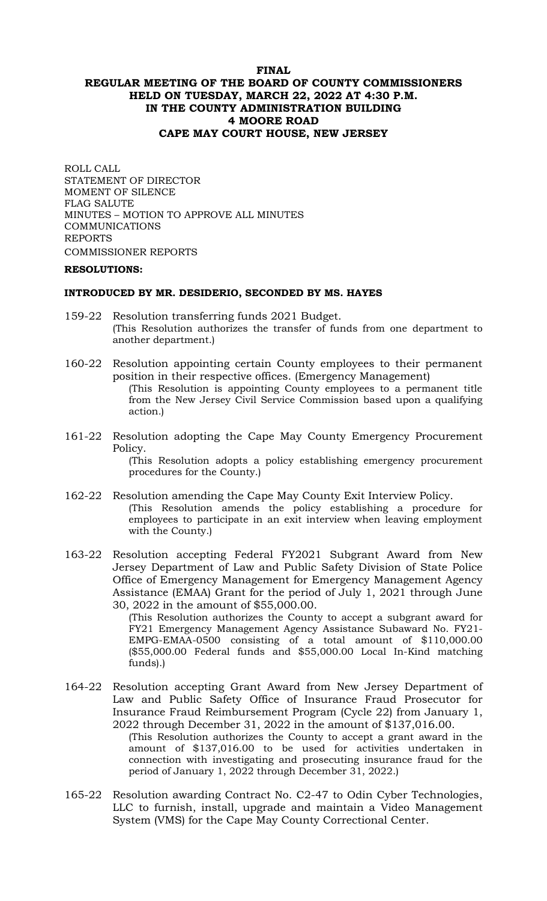## **FINAL REGULAR MEETING OF THE BOARD OF COUNTY COMMISSIONERS HELD ON TUESDAY, MARCH 22, 2022 AT 4:30 P.M. IN THE COUNTY ADMINISTRATION BUILDING 4 MOORE ROAD CAPE MAY COURT HOUSE, NEW JERSEY**

ROLL CALL STATEMENT OF DIRECTOR MOMENT OF SILENCE FLAG SALUTE MINUTES – MOTION TO APPROVE ALL MINUTES COMMUNICATIONS REPORTS COMMISSIONER REPORTS

#### **RESOLUTIONS:**

#### **INTRODUCED BY MR. DESIDERIO, SECONDED BY MS. HAYES**

- 159-22 Resolution transferring funds 2021 Budget. (This Resolution authorizes the transfer of funds from one department to another department.)
- 160-22 Resolution appointing certain County employees to their permanent position in their respective offices. (Emergency Management) (This Resolution is appointing County employees to a permanent title from the New Jersey Civil Service Commission based upon a qualifying action*.*)
- 161-22 Resolution adopting the Cape May County Emergency Procurement Policy.

(This Resolution adopts a policy establishing emergency procurement procedures for the County.)

- 162-22 Resolution amending the Cape May County Exit Interview Policy. (This Resolution amends the policy establishing a procedure for employees to participate in an exit interview when leaving employment with the County.)
- 163-22 Resolution accepting Federal FY2021 Subgrant Award from New Jersey Department of Law and Public Safety Division of State Police Office of Emergency Management for Emergency Management Agency Assistance (EMAA) Grant for the period of July 1, 2021 through June 30, 2022 in the amount of \$55,000.00.

(This Resolution authorizes the County to accept a subgrant award for FY21 Emergency Management Agency Assistance Subaward No. FY21- EMPG-EMAA-0500 consisting of a total amount of \$110,000.00 (\$55,000.00 Federal funds and \$55,000.00 Local In-Kind matching funds).)

164-22 Resolution accepting Grant Award from New Jersey Department of Law and Public Safety Office of Insurance Fraud Prosecutor for Insurance Fraud Reimbursement Program (Cycle 22) from January 1, 2022 through December 31, 2022 in the amount of \$137,016.00.

(This Resolution authorizes the County to accept a grant award in the amount of \$137,016.00 to be used for activities undertaken in connection with investigating and prosecuting insurance fraud for the period of January 1, 2022 through December 31, 2022.)

165-22 Resolution awarding Contract No. C2-47 to Odin Cyber Technologies, LLC to furnish, install, upgrade and maintain a Video Management System (VMS) for the Cape May County Correctional Center.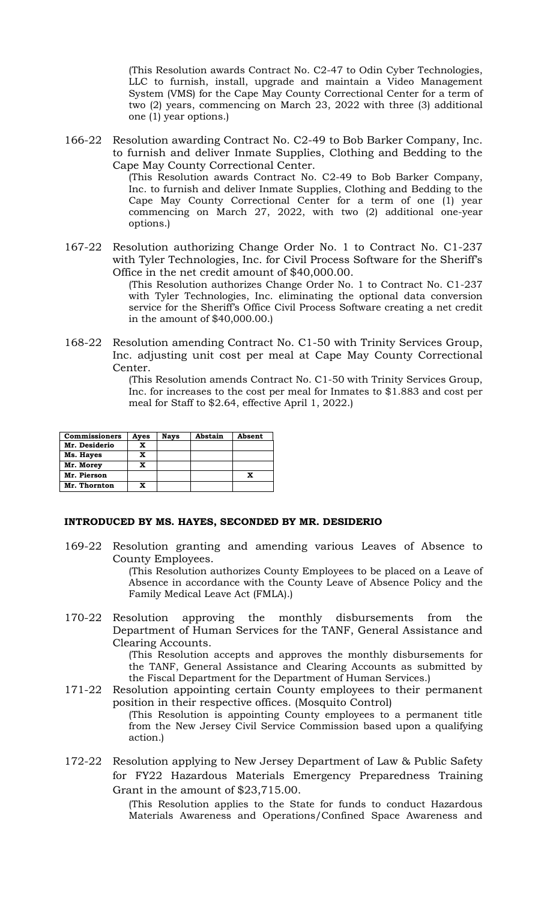(This Resolution awards Contract No. C2-47 to Odin Cyber Technologies, LLC to furnish, install, upgrade and maintain a Video Management System (VMS) for the Cape May County Correctional Center for a term of two (2) years, commencing on March 23, 2022 with three (3) additional one (1) year options.)

166-22 Resolution awarding Contract No. C2-49 to Bob Barker Company, Inc. to furnish and deliver Inmate Supplies, Clothing and Bedding to the Cape May County Correctional Center.

(This Resolution awards Contract No. C2-49 to Bob Barker Company, Inc. to furnish and deliver Inmate Supplies, Clothing and Bedding to the Cape May County Correctional Center for a term of one (1) year commencing on March 27, 2022, with two (2) additional one-year options.)

167-22 Resolution authorizing Change Order No. 1 to Contract No. C1-237 with Tyler Technologies, Inc. for Civil Process Software for the Sheriff's Office in the net credit amount of \$40,000.00.

(This Resolution authorizes Change Order No. 1 to Contract No. C1-237 with Tyler Technologies, Inc. eliminating the optional data conversion service for the Sheriff's Office Civil Process Software creating a net credit in the amount of \$40,000.00.)

168-22 Resolution amending Contract No. C1-50 with Trinity Services Group, Inc. adjusting unit cost per meal at Cape May County Correctional Center.

> (This Resolution amends Contract No. C1-50 with Trinity Services Group, Inc. for increases to the cost per meal for Inmates to \$1.883 and cost per meal for Staff to \$2.64, effective April 1, 2022.)

| <b>Commissioners</b> | Aves | Nays | Abstain | Absent |
|----------------------|------|------|---------|--------|
| Mr. Desiderio        | x    |      |         |        |
| Ms. Hayes            |      |      |         |        |
| Mr. Morey            |      |      |         |        |
| Mr. Pierson          |      |      |         |        |
| Mr. Thornton         |      |      |         |        |

#### **INTRODUCED BY MS. HAYES, SECONDED BY MR. DESIDERIO**

169-22 Resolution granting and amending various Leaves of Absence to County Employees.

(This Resolution authorizes County Employees to be placed on a Leave of Absence in accordance with the County Leave of Absence Policy and the Family Medical Leave Act (FMLA).)

170-22 Resolution approving the monthly disbursements from the Department of Human Services for the TANF, General Assistance and Clearing Accounts.

(This Resolution accepts and approves the monthly disbursements for the TANF, General Assistance and Clearing Accounts as submitted by the Fiscal Department for the Department of Human Services.)

171-22 Resolution appointing certain County employees to their permanent position in their respective offices. (Mosquito Control) (This Resolution is appointing County employees to a permanent title

from the New Jersey Civil Service Commission based upon a qualifying action*.*)

172-22 Resolution applying to New Jersey Department of Law & Public Safety for FY22 Hazardous Materials Emergency Preparedness Training Grant in the amount of \$23,715.00.

> (This Resolution applies to the State for funds to conduct Hazardous Materials Awareness and Operations/Confined Space Awareness and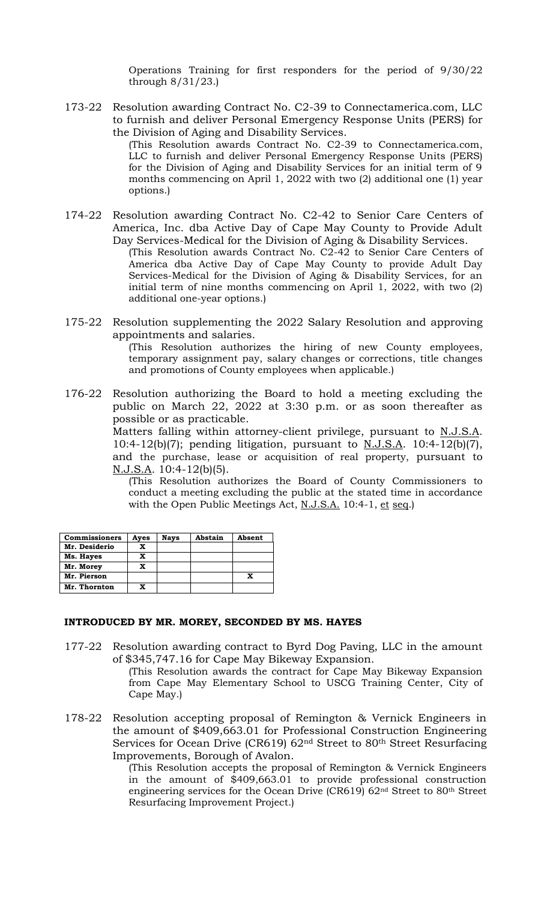Operations Training for first responders for the period of 9/30/22 through 8/31/23.)

173-22 Resolution awarding Contract No. C2-39 to Connectamerica.com, LLC to furnish and deliver Personal Emergency Response Units (PERS) for the Division of Aging and Disability Services.

> (This Resolution awards Contract No. C2-39 to Connectamerica.com, LLC to furnish and deliver Personal Emergency Response Units (PERS) for the Division of Aging and Disability Services for an initial term of 9 months commencing on April 1, 2022 with two (2) additional one (1) year options.)

- 174-22 Resolution awarding Contract No. C2-42 to Senior Care Centers of America, Inc. dba Active Day of Cape May County to Provide Adult Day Services-Medical for the Division of Aging & Disability Services. (This Resolution awards Contract No. C2-42 to Senior Care Centers of America dba Active Day of Cape May County to provide Adult Day Services-Medical for the Division of Aging & Disability Services, for an initial term of nine months commencing on April 1, 2022, with two (2) additional one-year options.)
- 175-22 Resolution supplementing the 2022 Salary Resolution and approving appointments and salaries.

(This Resolution authorizes the hiring of new County employees, temporary assignment pay, salary changes or corrections, title changes and promotions of County employees when applicable.)

176-22 Resolution authorizing the Board to hold a meeting excluding the public on March 22, 2022 at 3:30 p.m. or as soon thereafter as possible or as practicable.

> Matters falling within attorney-client privilege, pursuant to N.J.S.A. 10:4-12(b)(7); pending litigation, pursuant to  $N.J.S.A.$  10:4-12(b)(7), and the purchase, lease or acquisition of real property, pursuant to N.J.S.A. 10:4-12(b)(5).

(This Resolution authorizes the Board of County Commissioners to conduct a meeting excluding the public at the stated time in accordance with the Open Public Meetings Act, N.J.S.A. 10:4-1, et seq.)

| <b>Commissioners</b> | Ayes | Nays | Abstain | Absent |
|----------------------|------|------|---------|--------|
| Mr. Desiderio        |      |      |         |        |
| Ms. Hayes            | X    |      |         |        |
| Mr. Morey            |      |      |         |        |
| Mr. Pierson          |      |      |         | X      |
| Mr. Thornton         |      |      |         |        |

#### **INTRODUCED BY MR. MOREY, SECONDED BY MS. HAYES**

- 177-22 Resolution awarding contract to Byrd Dog Paving, LLC in the amount of \$345,747.16 for Cape May Bikeway Expansion.
	- (This Resolution awards the contract for Cape May Bikeway Expansion from Cape May Elementary School to USCG Training Center, City of Cape May.)
- 178-22 Resolution accepting proposal of Remington & Vernick Engineers in the amount of \$409,663.01 for Professional Construction Engineering Services for Ocean Drive (CR619) 62nd Street to 80th Street Resurfacing Improvements, Borough of Avalon.

(This Resolution accepts the proposal of Remington & Vernick Engineers in the amount of  $\bar{$}409,66\bar{3}.0\bar{1}$  to provide professional construction engineering services for the Ocean Drive (CR619) 62nd Street to 80th Street Resurfacing Improvement Project.)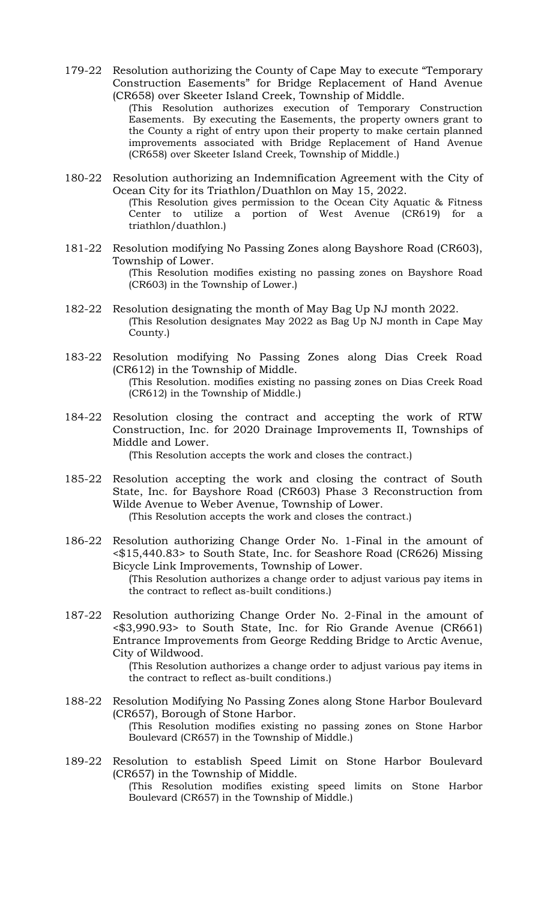179-22 Resolution authorizing the County of Cape May to execute "Temporary Construction Easements" for Bridge Replacement of Hand Avenue (CR658) over Skeeter Island Creek, Township of Middle.

> (This Resolution authorizes execution of Temporary Construction Easements. By executing the Easements, the property owners grant to the County a right of entry upon their property to make certain planned improvements associated with Bridge Replacement of Hand Avenue (CR658) over Skeeter Island Creek, Township of Middle.)

- 180-22 Resolution authorizing an Indemnification Agreement with the City of Ocean City for its Triathlon/Duathlon on May 15, 2022. (This Resolution gives permission to the Ocean City Aquatic & Fitness Center to utilize a portion of West Avenue (CR619) for a
- triathlon/duathlon.) 181-22 Resolution modifying No Passing Zones along Bayshore Road (CR603), Township of Lower.

(This Resolution modifies existing no passing zones on Bayshore Road (CR603) in the Township of Lower.)

- 182-22 Resolution designating the month of May Bag Up NJ month 2022. (This Resolution designates May 2022 as Bag Up NJ month in Cape May County.)
- 183-22 Resolution modifying No Passing Zones along Dias Creek Road (CR612) in the Township of Middle. (This Resolution. modifies existing no passing zones on Dias Creek Road (CR612) in the Township of Middle.)
- 184-22 Resolution closing the contract and accepting the work of RTW Construction, Inc. for 2020 Drainage Improvements II, Townships of Middle and Lower.

(This Resolution accepts the work and closes the contract.)

- 185-22 Resolution accepting the work and closing the contract of South State, Inc. for Bayshore Road (CR603) Phase 3 Reconstruction from Wilde Avenue to Weber Avenue, Township of Lower. (This Resolution accepts the work and closes the contract.)
- 186-22 Resolution authorizing Change Order No. 1-Final in the amount of <\$15,440.83> to South State, Inc. for Seashore Road (CR626) Missing Bicycle Link Improvements, Township of Lower. (This Resolution authorizes a change order to adjust various pay items in the contract to reflect as-built conditions.)
- 187-22 Resolution authorizing Change Order No. 2-Final in the amount of <\$3,990.93> to South State, Inc. for Rio Grande Avenue (CR661) Entrance Improvements from George Redding Bridge to Arctic Avenue, City of Wildwood.

(This Resolution authorizes a change order to adjust various pay items in the contract to reflect as-built conditions.)

- 188-22 Resolution Modifying No Passing Zones along Stone Harbor Boulevard (CR657), Borough of Stone Harbor. (This Resolution modifies existing no passing zones on Stone Harbor Boulevard (CR657) in the Township of Middle.)
- 189-22 Resolution to establish Speed Limit on Stone Harbor Boulevard (CR657) in the Township of Middle. (This Resolution modifies existing speed limits on Stone Harbor Boulevard (CR657) in the Township of Middle.)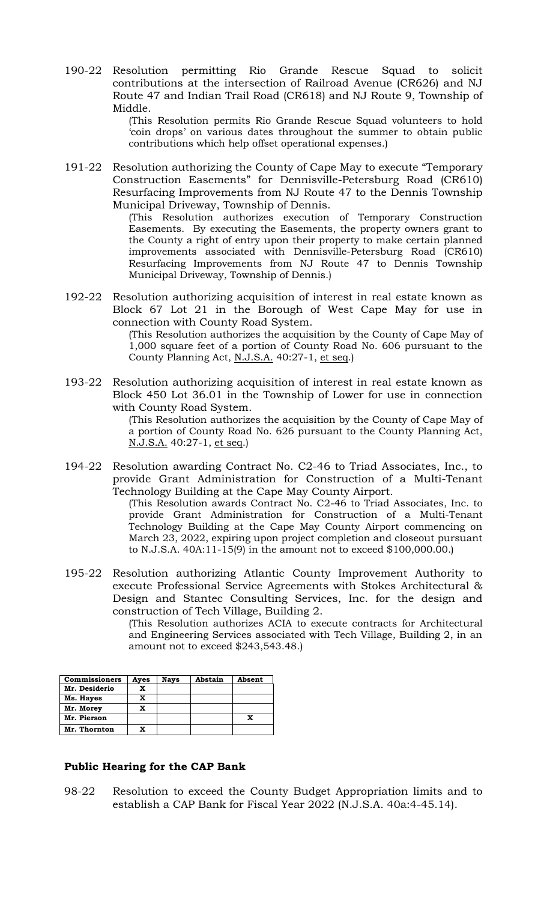190-22 Resolution permitting Rio Grande Rescue Squad to solicit contributions at the intersection of Railroad Avenue (CR626) and NJ Route 47 and Indian Trail Road (CR618) and NJ Route 9, Township of Middle.

> (This Resolution permits Rio Grande Rescue Squad volunteers to hold 'coin drops' on various dates throughout the summer to obtain public contributions which help offset operational expenses.)

191-22 Resolution authorizing the County of Cape May to execute "Temporary Construction Easements" for Dennisville-Petersburg Road (CR610) Resurfacing Improvements from NJ Route 47 to the Dennis Township Municipal Driveway, Township of Dennis.

> (This Resolution authorizes execution of Temporary Construction Easements. By executing the Easements, the property owners grant to the County a right of entry upon their property to make certain planned improvements associated with Dennisville-Petersburg Road (CR610) Resurfacing Improvements from NJ Route 47 to Dennis Township Municipal Driveway, Township of Dennis.)

192-22 Resolution authorizing acquisition of interest in real estate known as Block 67 Lot 21 in the Borough of West Cape May for use in connection with County Road System.

(This Resolution authorizes the acquisition by the County of Cape May of 1,000 square feet of a portion of County Road No. 606 pursuant to the County Planning Act, N.J.S.A. 40:27-1, et seq.)

193-22 Resolution authorizing acquisition of interest in real estate known as Block 450 Lot 36.01 in the Township of Lower for use in connection with County Road System.

> (This Resolution authorizes the acquisition by the County of Cape May of a portion of County Road No. 626 pursuant to the County Planning Act, N.J.S.A. 40:27-1, et seq.)

194-22 Resolution awarding Contract No. C2-46 to Triad Associates, Inc., to provide Grant Administration for Construction of a Multi-Tenant Technology Building at the Cape May County Airport.

> (This Resolution awards Contract No. C2-46 to Triad Associates, Inc. to provide Grant Administration for Construction of a Multi-Tenant Technology Building at the Cape May County Airport commencing on March 23, 2022, expiring upon project completion and closeout pursuant to N.J.S.A. 40A:11-15(9) in the amount not to exceed \$100,000.00.)

195-22 Resolution authorizing Atlantic County Improvement Authority to execute Professional Service Agreements with Stokes Architectural & Design and Stantec Consulting Services, Inc. for the design and construction of Tech Village, Building 2.

(This Resolution authorizes ACIA to execute contracts for Architectural and Engineering Services associated with Tech Village, Building 2, in an amount not to exceed \$243,543.48.)

| <b>Commissioners</b> | Ayes | <b>Nays</b> | Abstain | Absent |
|----------------------|------|-------------|---------|--------|
| Mr. Desiderio        | x    |             |         |        |
| Ms. Hayes            | x    |             |         |        |
| Mr. Morey            | x    |             |         |        |
| Mr. Pierson          |      |             |         | X      |
| Mr. Thornton         |      |             |         |        |

# **Public Hearing for the CAP Bank**

98-22 Resolution to exceed the County Budget Appropriation limits and to establish a CAP Bank for Fiscal Year 2022 (N.J.S.A. 40a:4-45.14).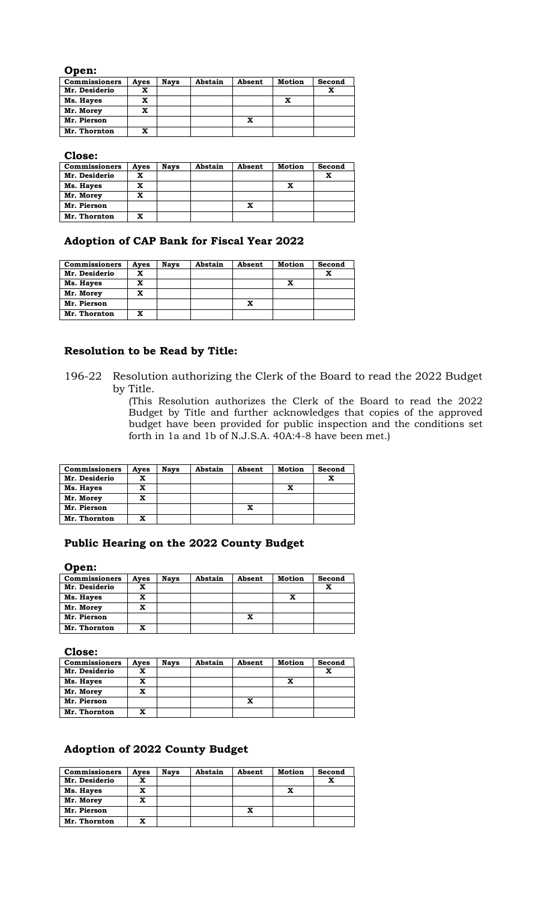#### **Open:**

| <b>Commissioners</b> | Ayes | <b>Nays</b> | Abstain | Absent | Motion | Second |
|----------------------|------|-------------|---------|--------|--------|--------|
| Mr. Desiderio        | x    |             |         |        |        |        |
| Ms. Hayes            | x    |             |         |        | x      |        |
| Mr. Morey            | x    |             |         |        |        |        |
| Mr. Pierson          |      |             |         | x      |        |        |
| Mr. Thornton         |      |             |         |        |        |        |

**Close:**

| <b>Commissioners</b> | Ayes | <b>Nays</b> | Abstain | Absent | <b>Motion</b> | Second |
|----------------------|------|-------------|---------|--------|---------------|--------|
| Mr. Desiderio        | x    |             |         |        |               | x      |
| Ms. Hayes            | x    |             |         |        | X             |        |
| Mr. Morey            | x    |             |         |        |               |        |
| Mr. Pierson          |      |             |         | x      |               |        |
| Mr. Thornton         | X    |             |         |        |               |        |

## **Adoption of CAP Bank for Fiscal Year 2022**

| <b>Commissioners</b> | Ayes | <b>Nays</b> | Abstain | Absent | Motion | Second |
|----------------------|------|-------------|---------|--------|--------|--------|
| Mr. Desiderio        | x    |             |         |        |        | x      |
| Ms. Hayes            | x    |             |         |        | x      |        |
| Mr. Morey            | x    |             |         |        |        |        |
| Mr. Pierson          |      |             |         | x      |        |        |
| Mr. Thornton         | x    |             |         |        |        |        |

#### **Resolution to be Read by Title:**

196-22 Resolution authorizing the Clerk of the Board to read the 2022 Budget by Title.

(This Resolution authorizes the Clerk of the Board to read the 2022 Budget by Title and further acknowledges that copies of the approved budget have been provided for public inspection and the conditions set forth in 1a and 1b of N.J.S.A. 40A:4-8 have been met.)

| <b>Commissioners</b> | Aves | <b>Nays</b> | Abstain | Absent | <b>Motion</b> | Second |
|----------------------|------|-------------|---------|--------|---------------|--------|
| Mr. Desiderio        |      |             |         |        |               | x      |
| Ms. Hayes            |      |             |         |        | x             |        |
| Mr. Morey            | x    |             |         |        |               |        |
| Mr. Pierson          |      |             |         | x      |               |        |
| Mr. Thornton         |      |             |         |        |               |        |

## **Public Hearing on the 2022 County Budget**

**Open:**

| <b>Commissioners</b> | Ayes | <b>Nays</b> | Abstain | Absent | Motion | Second |
|----------------------|------|-------------|---------|--------|--------|--------|
| Mr. Desiderio        |      |             |         |        |        | x      |
| Ms. Hayes            |      |             |         |        |        |        |
| Mr. Morey            | x    |             |         |        |        |        |
| Mr. Pierson          |      |             |         | x      |        |        |
| Mr. Thornton         | x    |             |         |        |        |        |

**Close:**

| <b>Commissioners</b> | Aves | <b>Nays</b> | Abstain | Absent | Motion | Second |
|----------------------|------|-------------|---------|--------|--------|--------|
| Mr. Desiderio        |      |             |         |        |        | x      |
| Ms. Hayes            |      |             |         |        | x      |        |
| Mr. Morey            |      |             |         |        |        |        |
| Mr. Pierson          |      |             |         | x      |        |        |
| Mr. Thornton         |      |             |         |        |        |        |

# **Adoption of 2022 County Budget**

| <b>Commissioners</b> | Ayes | <b>Nays</b> | Abstain | Absent | Motion | Second |
|----------------------|------|-------------|---------|--------|--------|--------|
| Mr. Desiderio        |      |             |         |        |        | x      |
| Ms. Hayes            | x    |             |         |        | x      |        |
| Mr. Morey            | x    |             |         |        |        |        |
| Mr. Pierson          |      |             |         | x      |        |        |
| Mr. Thornton         | x    |             |         |        |        |        |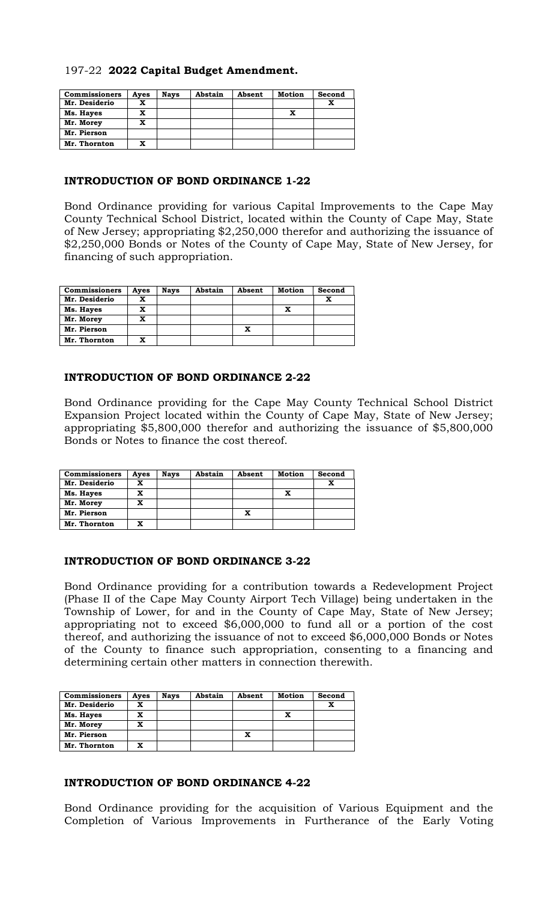# 197-22 **2022 Capital Budget Amendment.**

| <b>Commissioners</b> | Ayes | <b>Nays</b> | Abstain | Absent | Motion | Second |
|----------------------|------|-------------|---------|--------|--------|--------|
| Mr. Desiderio        |      |             |         |        |        |        |
| Ms. Hayes            | x    |             |         |        |        |        |
| Mr. Morey            | x    |             |         |        |        |        |
| Mr. Pierson          |      |             |         |        |        |        |
| Mr. Thornton         |      |             |         |        |        |        |

## **INTRODUCTION OF BOND ORDINANCE 1-22**

Bond Ordinance providing for various Capital Improvements to the Cape May County Technical School District, located within the County of Cape May, State of New Jersey; appropriating \$2,250,000 therefor and authorizing the issuance of \$2,250,000 Bonds or Notes of the County of Cape May, State of New Jersey, for financing of such appropriation.

| <b>Commissioners</b> | Aves | <b>Nays</b> | Abstain | Absent | Motion | Second |
|----------------------|------|-------------|---------|--------|--------|--------|
| Mr. Desiderio        |      |             |         |        |        | x      |
| Ms. Hayes            | x    |             |         |        | x      |        |
| Mr. Morey            | x    |             |         |        |        |        |
| Mr. Pierson          |      |             |         |        |        |        |
| Mr. Thornton         |      |             |         |        |        |        |

## **INTRODUCTION OF BOND ORDINANCE 2-22**

Bond Ordinance providing for the Cape May County Technical School District Expansion Project located within the County of Cape May, State of New Jersey; appropriating \$5,800,000 therefor and authorizing the issuance of \$5,800,000 Bonds or Notes to finance the cost thereof.

| <b>Commissioners</b> | Aves | <b>Nays</b> | Abstain | Absent | Motion | Second |
|----------------------|------|-------------|---------|--------|--------|--------|
| Mr. Desiderio        | x    |             |         |        |        | x      |
| Ms. Hayes            | x    |             |         |        |        |        |
| Mr. Morey            | x    |             |         |        |        |        |
| Mr. Pierson          |      |             |         |        |        |        |
| Mr. Thornton         | x    |             |         |        |        |        |

## **INTRODUCTION OF BOND ORDINANCE 3-22**

Bond Ordinance providing for a contribution towards a Redevelopment Project (Phase II of the Cape May County Airport Tech Village) being undertaken in the Township of Lower, for and in the County of Cape May, State of New Jersey; appropriating not to exceed \$6,000,000 to fund all or a portion of the cost thereof, and authorizing the issuance of not to exceed \$6,000,000 Bonds or Notes of the County to finance such appropriation, consenting to a financing and determining certain other matters in connection therewith.

| <b>Commissioners</b> | Ayes | <b>Nays</b> | Abstain | Absent | Motion | Second |
|----------------------|------|-------------|---------|--------|--------|--------|
| Mr. Desiderio        | x    |             |         |        |        | x      |
| Ms. Hayes            | x    |             |         |        | x      |        |
| Mr. Morey            | x    |             |         |        |        |        |
| Mr. Pierson          |      |             |         | x      |        |        |
| Mr. Thornton         | x    |             |         |        |        |        |

## **INTRODUCTION OF BOND ORDINANCE 4-22**

Bond Ordinance providing for the acquisition of Various Equipment and the Completion of Various Improvements in Furtherance of the Early Voting